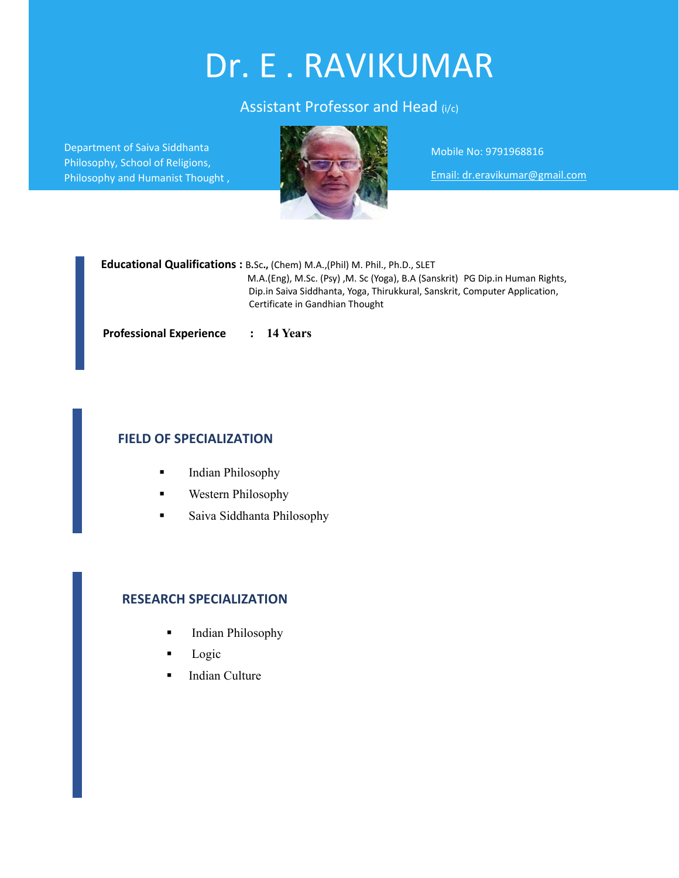# Dr. E . RAVIKUMAR

# Assistant Professor and Head (i/c)

Department of Saiva Siddhanta Philosophy, School of Religions, Philosophy and Humanist Thought ,



Mobile No: 9791968816

Email: dr.eravikumar@gmail.com

 **Educational Qualifications :** B**.**Sc**.,** (Chem) M.A.,(Phil) M. Phil., Ph.D., SLET M.A.(Eng), M.Sc. (Psy) ,M. Sc (Yoga), B.A (Sanskrit) PG Dip.in Human Rights, Dip.in Saiva Siddhanta, Yoga, Thirukkural, Sanskrit, Computer Application, Certificate in Gandhian Thought

**Professional Experience : 14 Years**

## **FIELD OF SPECIALIZATION**

- **Indian Philosophy**
- **Western Philosophy**
- **Saiva Siddhanta Philosophy**

## **RESEARCH SPECIALIZATION**

- Indian Philosophy
- Logic
- **Indian Culture**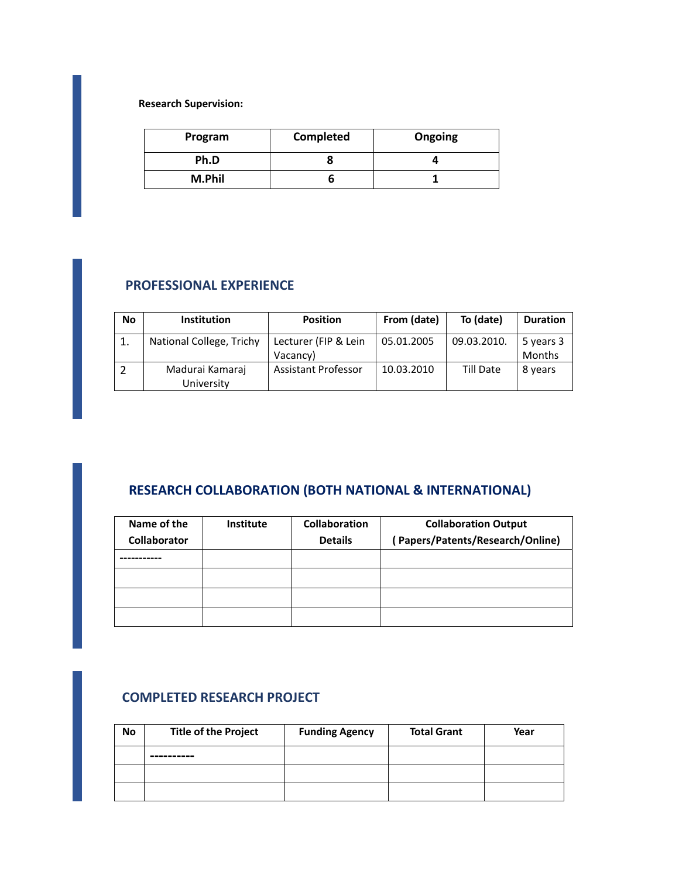**Research Supervision:**

| Program | Completed | Ongoing |
|---------|-----------|---------|
| Ph.D    |           |         |
| M.Phil  |           |         |

## **PROFESSIONAL EXPERIENCE**

| No | <b>Institution</b>            | <b>Position</b>                  | From (date) | To (date)   | <b>Duration</b>            |
|----|-------------------------------|----------------------------------|-------------|-------------|----------------------------|
|    | National College, Trichy      | Lecturer (FIP & Lein<br>Vacancy) | 05.01.2005  | 09.03.2010. | 5 years 3<br><b>Months</b> |
|    | Madurai Kamaraj<br>University | <b>Assistant Professor</b>       | 10.03.2010  | Till Date   | 8 years                    |

# **RESEARCH COLLABORATION (BOTH NATIONAL & INTERNATIONAL)**

| Name of the         | <b>Institute</b> | <b>Collaboration</b> | <b>Collaboration Output</b>     |
|---------------------|------------------|----------------------|---------------------------------|
| <b>Collaborator</b> |                  | <b>Details</b>       | Papers/Patents/Research/Online) |
|                     |                  |                      |                                 |
|                     |                  |                      |                                 |
|                     |                  |                      |                                 |
|                     |                  |                      |                                 |

## **COMPLETED RESEARCH PROJECT**

| <b>No</b> | <b>Title of the Project</b> | <b>Funding Agency</b> | <b>Total Grant</b> | Year |
|-----------|-----------------------------|-----------------------|--------------------|------|
|           | ----------                  |                       |                    |      |
|           |                             |                       |                    |      |
|           |                             |                       |                    |      |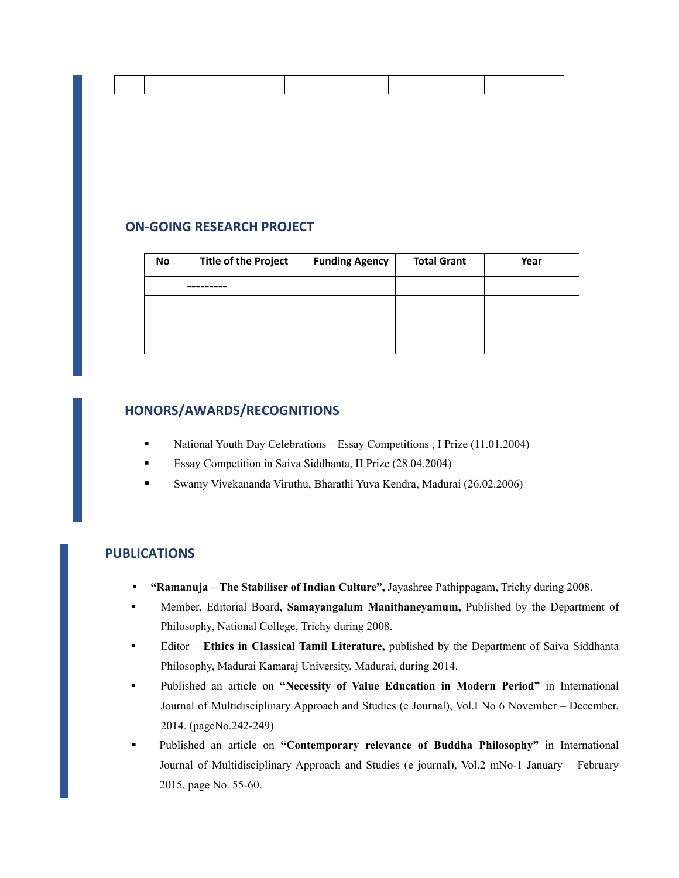## **ON‐GOING RESEARCH PROJECT**

| <b>No</b> | <b>Title of the Project</b> | <b>Funding Agency</b> | <b>Total Grant</b> | Year |
|-----------|-----------------------------|-----------------------|--------------------|------|
|           |                             |                       |                    |      |
|           |                             |                       |                    |      |
|           |                             |                       |                    |      |
|           |                             |                       |                    |      |

## **HONORS/AWARDS/RECOGNITIONS**

- National Youth Day Celebrations Essay Competitions , I Prize (11.01.2004)
- Essay Competition in Saiva Siddhanta, II Prize (28.04.2004)
- Swamy Vivekananda Viruthu, Bharathi Yuva Kendra, Madurai (26.02.2006)

## **PUBLICATIONS**

- **"Ramanuja The Stabiliser of Indian Culture",** Jayashree Pathippagam, Trichy during 2008.
- Member, Editorial Board, **Samayangalum Manithaneyamum,** Published by the Department of Philosophy, National College, Trichy during 2008.
- Editor **Ethics in Classical Tamil Literature,** published by the Department of Saiva Siddhanta Philosophy, Madurai Kamaraj University, Madurai, during 2014.
- Published an article on **"Necessity of Value Education in Modern Period"** in International Journal of Multidisciplinary Approach and Studies (e Journal), Vol.I No 6 November – December, 2014. (pageNo.242-249)
- Published an article on **"Contemporary relevance of Buddha Philosophy"** in International Journal of Multidisciplinary Approach and Studies (e journal), Vol.2 mNo-1 January – February 2015, page No. 55-60.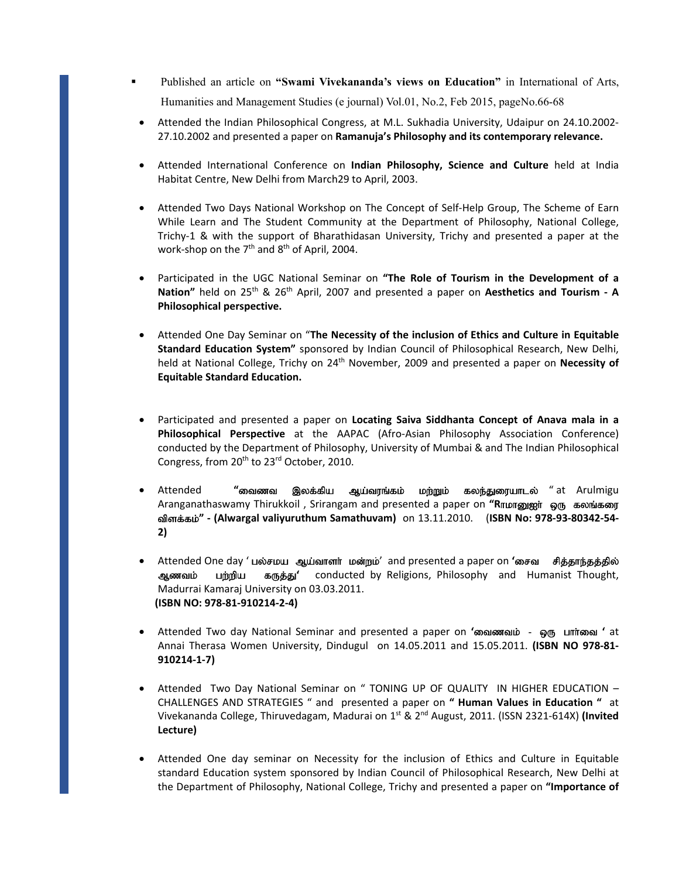- Published an article on **"Swami Vivekananda's views on Education"** in International of Arts, Humanities and Management Studies (e journal) Vol.01, No.2, Feb 2015, pageNo.66-68
	- Attended the Indian Philosophical Congress, at M.L. Sukhadia University, Udaipur on 24.10.2002‐ 27.10.2002 and presented a paper on **Ramanuja's Philosophy and its contemporary relevance.**
	- Attended International Conference on **Indian Philosophy, Science and Culture** held at India Habitat Centre, New Delhi from March29 to April, 2003.
	- Attended Two Days National Workshop on The Concept of Self‐Help Group, The Scheme of Earn While Learn and The Student Community at the Department of Philosophy, National College, Trichy‐1 & with the support of Bharathidasan University, Trichy and presented a paper at the work-shop on the  $7<sup>th</sup>$  and  $8<sup>th</sup>$  of April, 2004.
	- Participated in the UGC National Seminar on **"The Role of Tourism in the Development of a Nation"** held on 25th & 26th April, 2007 and presented a paper on **Aesthetics and Tourism ‐ A Philosophical perspective.**
	- Attended One Day Seminar on "**The Necessity of the inclusion of Ethics and Culture in Equitable Standard Education System"** sponsored by Indian Council of Philosophical Research, New Delhi, held at National College, Trichy on 24th November, 2009 and presented a paper on **Necessity of Equitable Standard Education.**
	- Participated and presented a paper on **Locating Saiva Siddhanta Concept of Anava mala in a Philosophical Perspective** at the AAPAC (Afro‐Asian Philosophy Association Conference) conducted by the Department of Philosophy, University of Mumbai & and The Indian Philosophical Congress, from 20<sup>th</sup> to 23<sup>rd</sup> October, 2010.
	- **•** Attended "வைணவ இலக்கிய ஆய்வரங்கம் மற்றும் கலந்துரையாடல் "at Arulmigu Aranganathaswamy Thirukkoil, Srirangam and presented a paper on "Rribirg pag கலங்கரை uqtg<gl <**" ‐ (Alwargal valiyuruthum Samathuvam)** on 13.11.2010. (**ISBN No: 978‐93‐80342‐54‐ 2)**
	- Attended One day ' பல்சமய ஆய்வாளர் மன்றம்' and presented a paper on 'சைவ சித்தாந்தத்தில் ஆணவம் பற்றிய கருத்து' conducted by Religions, Philosophy and Humanist Thought, Madurrai Kamaraj University on 03.03.2011.  **(ISBN NO: 978‐81‐910214‐2‐4)**
	- **Attended Two day National Seminar and presented a paper on 'ணவணவம் ஓரு பார்வை' at** Annai Therasa Women University, Dindugul on 14.05.2011 and 15.05.2011. **(ISBN NO 978‐81‐ 910214‐1‐7)**
	- Attended Two Day National Seminar on " TONING UP OF QUALITY IN HIGHER EDUCATION -CHALLENGES AND STRATEGIES " and presented a paper on **" Human Values in Education "** at Vivekananda College, Thiruvedagam, Madurai on 1st & 2nd August, 2011. (ISSN 2321‐614X) **(Invited Lecture)**
	- Attended One day seminar on Necessity for the inclusion of Ethics and Culture in Equitable standard Education system sponsored by Indian Council of Philosophical Research, New Delhi at the Department of Philosophy, National College, Trichy and presented a paper on **"Importance of**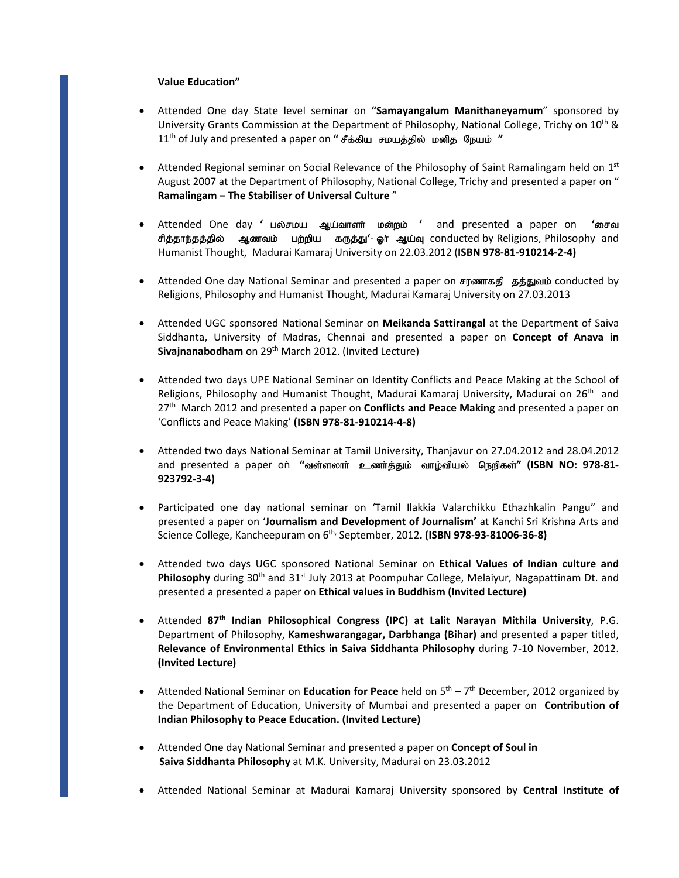#### **Value Education"**

- Attended One day State level seminar on **"Samayangalum Manithaneyamum**" sponsored by University Grants Commission at the Department of Philosophy, National College, Trichy on 10<sup>th</sup> & 11<sup>th</sup> of July and presented a paper on **" சீக்கிய சமயத்தில் மனித நேயம் "**
- Attended Regional seminar on Social Relevance of the Philosophy of Saint Ramalingam held on  $1<sup>st</sup>$ August 2007 at the Department of Philosophy, National College, Trichy and presented a paper on " **Ramalingam – The Stabiliser of Universal Culture** "
- Attended One day ' பல்சமய ஆய்வாளர் மன்றம் ' and presented a paper on 'சைவ சித்தாந்தத்தில் ஆணவம் பற்றிய கருத்து'- ஓர் ஆய்வு conducted by Religions, Philosophy and Humanist Thought, Madurai Kamaraj University on 22.03.2012 (**ISBN 978‐81‐910214‐2‐4)**
- Attended One day National Seminar and presented a paper on சரணாகதி தத்துவம் conducted by Religions, Philosophy and Humanist Thought, Madurai Kamaraj University on 27.03.2013
- Attended UGC sponsored National Seminar on **Meikanda Sattirangal** at the Department of Saiva Siddhanta, University of Madras, Chennai and presented a paper on **Concept of Anava in** Sivajnanabodham on 29<sup>th</sup> March 2012. (Invited Lecture)
- Attended two days UPE National Seminar on Identity Conflicts and Peace Making at the School of Religions, Philosophy and Humanist Thought, Madurai Kamaraj University, Madurai on 26<sup>th</sup> and 27th March 2012 and presented a paper on **Conflicts and Peace Making** and presented a paper on 'Conflicts and Peace Making' **(ISBN 978‐81‐910214‐4‐8)**
- Attended two days National Seminar at Tamil University, Thanjavur on 27.04.2012 and 28.04.2012  $\lambda$  and presented a paper on "வள்ளலாா் உணா்க்தும் வாழ்வியல் நெறிகள்" (ISBN NO: 978-81-**923792‐3‐4)**
- Participated one day national seminar on 'Tamil Ilakkia Valarchikku Ethazhkalin Pangu" and presented a paper on '**Journalism and Development of Journalism'** at Kanchi Sri Krishna Arts and Science College, Kancheepuram on 6th, September, 2012**. (ISBN 978‐93‐81006‐36‐8)**
- Attended two days UGC sponsored National Seminar on **Ethical Values of Indian culture and Philosophy** during 30<sup>th</sup> and 31<sup>st</sup> July 2013 at Poompuhar College, Melaiyur, Nagapattinam Dt. and presented a presented a paper on **Ethical values in Buddhism (Invited Lecture)**
- Attended **87th Indian Philosophical Congress (IPC) at Lalit Narayan Mithila University**, P.G. Department of Philosophy, **Kameshwarangagar, Darbhanga (Bihar)** and presented a paper titled, **Relevance of Environmental Ethics in Saiva Siddhanta Philosophy** during 7‐10 November, 2012. **(Invited Lecture)**
- Attended National Seminar on **Education for Peace** held on 5th 7th December, 2012 organized by the Department of Education, University of Mumbai and presented a paper on **Contribution of Indian Philosophy to Peace Education. (Invited Lecture)**
- Attended One day National Seminar and presented a paper on **Concept of Soul in Saiva Siddhanta Philosophy** at M.K. University, Madurai on 23.03.2012
- Attended National Seminar at Madurai Kamaraj University sponsored by **Central Institute of**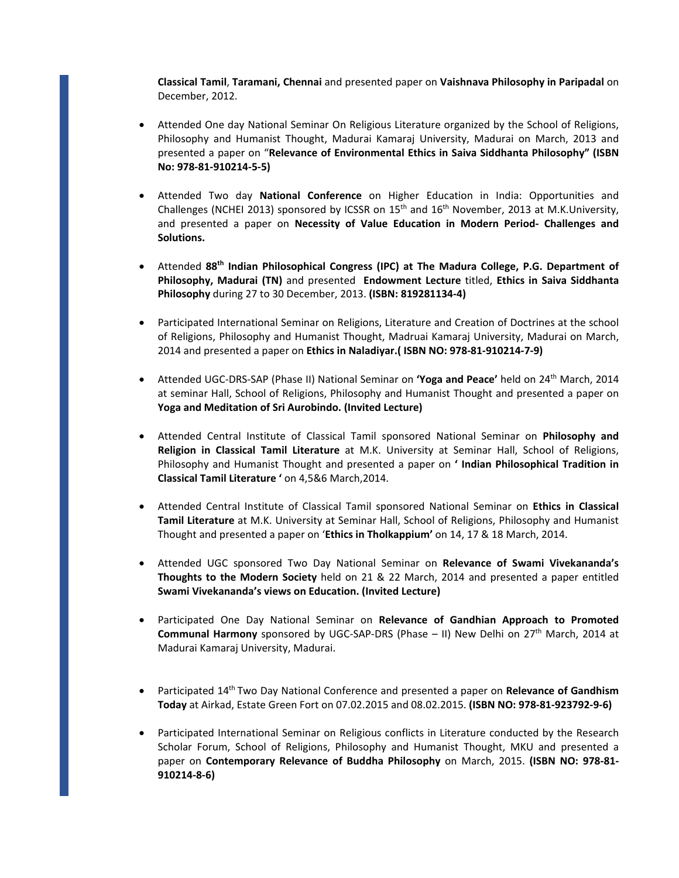**Classical Tamil**, **Taramani, Chennai** and presented paper on **Vaishnava Philosophy in Paripadal** on December, 2012.

- Attended One day National Seminar On Religious Literature organized by the School of Religions, Philosophy and Humanist Thought, Madurai Kamaraj University, Madurai on March, 2013 and presented a paper on "**Relevance of Environmental Ethics in Saiva Siddhanta Philosophy" (ISBN No: 978‐81‐910214‐5‐5)**
- Attended Two day **National Conference** on Higher Education in India: Opportunities and Challenges (NCHEI 2013) sponsored by ICSSR on  $15<sup>th</sup>$  and  $16<sup>th</sup>$  November, 2013 at M.K.University, and presented a paper on **Necessity of Value Education in Modern Period‐ Challenges and Solutions.**
- Attended **88th Indian Philosophical Congress (IPC) at The Madura College, P.G. Department of Philosophy, Madurai (TN)** and presented **Endowment Lecture** titled, **Ethics in Saiva Siddhanta Philosophy** during 27 to 30 December, 2013. **(ISBN: 819281134‐4)**
- Participated International Seminar on Religions, Literature and Creation of Doctrines at the school of Religions, Philosophy and Humanist Thought, Madruai Kamaraj University, Madurai on March, 2014 and presented a paper on **Ethics in Naladiyar.( ISBN NO: 978‐81‐910214‐7‐9)**
- Attended UGC‐DRS‐SAP (Phase II) National Seminar on **'Yoga and Peace'** held on 24th March, 2014 at seminar Hall, School of Religions, Philosophy and Humanist Thought and presented a paper on **Yoga and Meditation of Sri Aurobindo. (Invited Lecture)**
- Attended Central Institute of Classical Tamil sponsored National Seminar on **Philosophy and Religion in Classical Tamil Literature** at M.K. University at Seminar Hall, School of Religions, Philosophy and Humanist Thought and presented a paper on **' Indian Philosophical Tradition in Classical Tamil Literature '** on 4,5&6 March,2014.
- Attended Central Institute of Classical Tamil sponsored National Seminar on **Ethics in Classical Tamil Literature** at M.K. University at Seminar Hall, School of Religions, Philosophy and Humanist Thought and presented a paper on '**Ethics in Tholkappium'** on 14, 17 & 18 March, 2014.
- Attended UGC sponsored Two Day National Seminar on **Relevance of Swami Vivekananda's Thoughts to the Modern Society** held on 21 & 22 March, 2014 and presented a paper entitled **Swami Vivekananda's views on Education. (Invited Lecture)**
- Participated One Day National Seminar on **Relevance of Gandhian Approach to Promoted Communal Harmony** sponsored by UGC-SAP-DRS (Phase – II) New Delhi on 27<sup>th</sup> March, 2014 at Madurai Kamaraj University, Madurai.
- Participated 14th Two Day National Conference and presented a paper on **Relevance of Gandhism Today** at Airkad, Estate Green Fort on 07.02.2015 and 08.02.2015. **(ISBN NO: 978‐81‐923792‐9‐6)**
- Participated International Seminar on Religious conflicts in Literature conducted by the Research Scholar Forum, School of Religions, Philosophy and Humanist Thought, MKU and presented a paper on **Contemporary Relevance of Buddha Philosophy** on March, 2015. **(ISBN NO: 978‐81‐ 910214‐8‐6)**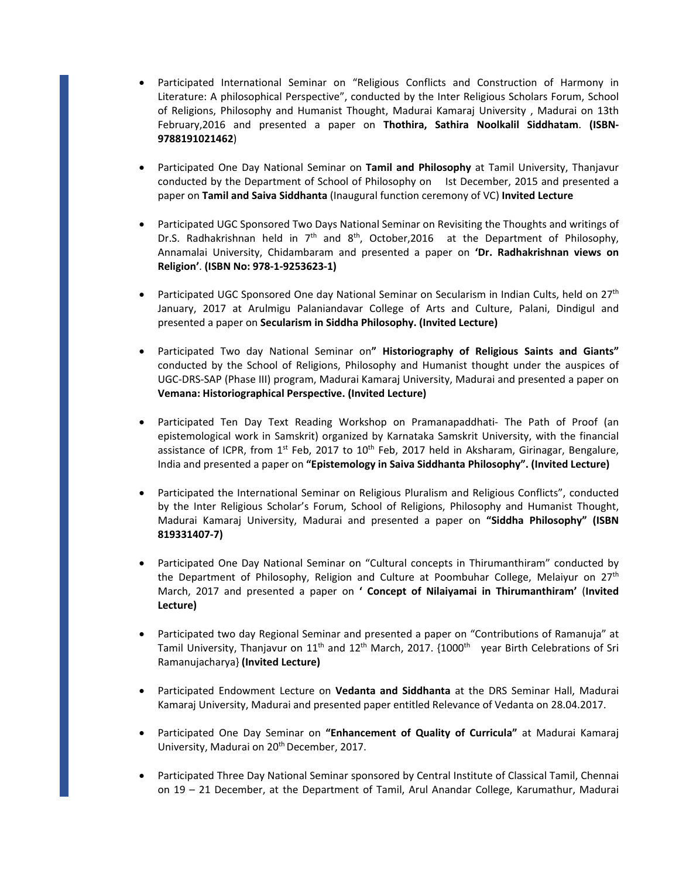- Participated International Seminar on "Religious Conflicts and Construction of Harmony in Literature: A philosophical Perspective", conducted by the Inter Religious Scholars Forum, School of Religions, Philosophy and Humanist Thought, Madurai Kamaraj University , Madurai on 13th February,2016 and presented a paper on **Thothira, Sathira Noolkalil Siddhatam**. **(ISBN‐ 9788191021462**)
- Participated One Day National Seminar on **Tamil and Philosophy** at Tamil University, Thanjavur conducted by the Department of School of Philosophy on Ist December, 2015 and presented a paper on **Tamil and Saiva Siddhanta** (Inaugural function ceremony of VC) **Invited Lecture**
- Participated UGC Sponsored Two Days National Seminar on Revisiting the Thoughts and writings of Dr.S. Radhakrishnan held in  $7<sup>th</sup>$  and  $8<sup>th</sup>$ , October, 2016 at the Department of Philosophy, Annamalai University, Chidambaram and presented a paper on **'Dr. Radhakrishnan views on Religion'**. **(ISBN No: 978‐1‐9253623‐1)**
- Participated UGC Sponsored One day National Seminar on Secularism in Indian Cults, held on 27<sup>th</sup> January, 2017 at Arulmigu Palaniandavar College of Arts and Culture, Palani, Dindigul and presented a paper on **Secularism in Siddha Philosophy. (Invited Lecture)**
- Participated Two day National Seminar on**" Historiography of Religious Saints and Giants"** conducted by the School of Religions, Philosophy and Humanist thought under the auspices of UGC‐DRS‐SAP (Phase III) program, Madurai Kamaraj University, Madurai and presented a paper on **Vemana: Historiographical Perspective. (Invited Lecture)**
- Participated Ten Day Text Reading Workshop on Pramanapaddhati‐ The Path of Proof (an epistemological work in Samskrit) organized by Karnataka Samskrit University, with the financial assistance of ICPR, from  $1<sup>st</sup>$  Feb, 2017 to  $10<sup>th</sup>$  Feb, 2017 held in Aksharam, Girinagar, Bengalure, India and presented a paper on **"Epistemology in Saiva Siddhanta Philosophy". (Invited Lecture)**
- Participated the International Seminar on Religious Pluralism and Religious Conflicts", conducted by the Inter Religious Scholar's Forum, School of Religions, Philosophy and Humanist Thought, Madurai Kamaraj University, Madurai and presented a paper on **"Siddha Philosophy" (ISBN 819331407‐7)**
- Participated One Day National Seminar on "Cultural concepts in Thirumanthiram" conducted by the Department of Philosophy, Religion and Culture at Poombuhar College, Melaiyur on 27<sup>th</sup> March, 2017 and presented a paper on **' Concept of Nilaiyamai in Thirumanthiram'** (**Invited Lecture)**
- Participated two day Regional Seminar and presented a paper on "Contributions of Ramanuja" at Tamil University, Thanjavur on  $11<sup>th</sup>$  and  $12<sup>th</sup>$  March, 2017. {1000<sup>th</sup> year Birth Celebrations of Sri Ramanujacharya} **(Invited Lecture)**
- Participated Endowment Lecture on **Vedanta and Siddhanta** at the DRS Seminar Hall, Madurai Kamaraj University, Madurai and presented paper entitled Relevance of Vedanta on 28.04.2017.
- Participated One Day Seminar on **"Enhancement of Quality of Curricula"** at Madurai Kamaraj University, Madurai on 20<sup>th</sup> December, 2017.
- Participated Three Day National Seminar sponsored by Central Institute of Classical Tamil, Chennai on 19 – 21 December, at the Department of Tamil, Arul Anandar College, Karumathur, Madurai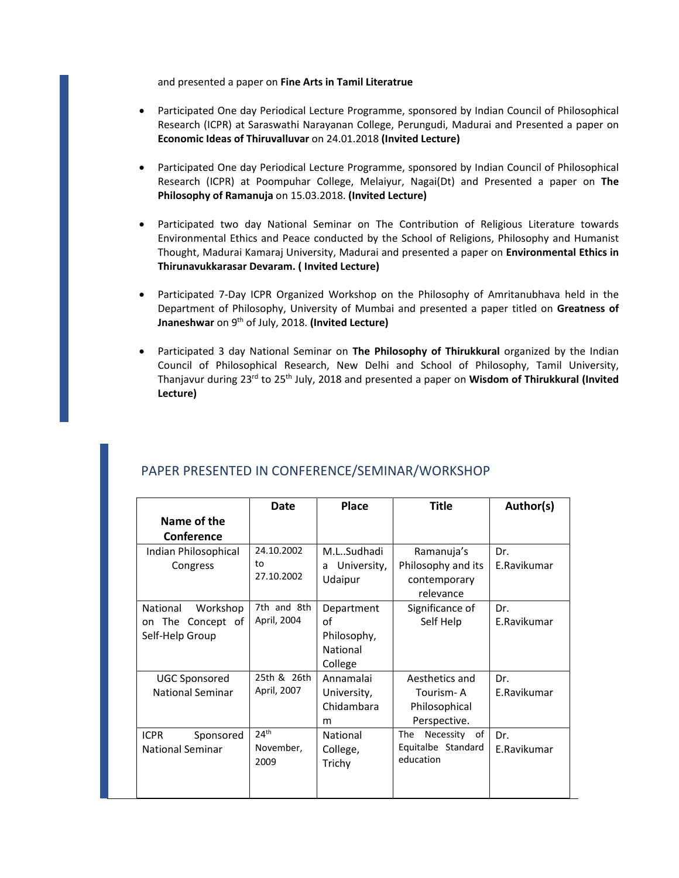and presented a paper on **Fine Arts in Tamil Literatrue**

- Participated One day Periodical Lecture Programme, sponsored by Indian Council of Philosophical Research (ICPR) at Saraswathi Narayanan College, Perungudi, Madurai and Presented a paper on **Economic Ideas of Thiruvalluvar** on 24.01.2018 **(Invited Lecture)**
- Participated One day Periodical Lecture Programme, sponsored by Indian Council of Philosophical Research (ICPR) at Poompuhar College, Melaiyur, Nagai(Dt) and Presented a paper on **The Philosophy of Ramanuja** on 15.03.2018. **(Invited Lecture)**
- Participated two day National Seminar on The Contribution of Religious Literature towards Environmental Ethics and Peace conducted by the School of Religions, Philosophy and Humanist Thought, Madurai Kamaraj University, Madurai and presented a paper on **Environmental Ethics in Thirunavukkarasar Devaram. ( Invited Lecture)**
- Participated 7‐Day ICPR Organized Workshop on the Philosophy of Amritanubhava held in the Department of Philosophy, University of Mumbai and presented a paper titled on **Greatness of Jnaneshwar** on 9th of July, 2018. **(Invited Lecture)**
- Participated 3 day National Seminar on **The Philosophy of Thirukkural** organized by the Indian Council of Philosophical Research, New Delhi and School of Philosophy, Tamil University, Thanjavur during 23rd to 25th July, 2018 and presented a paper on **Wisdom of Thirukkural (Invited Lecture)**

|                                                              | <b>Date</b>                           | Place                                                  | <b>Title</b>                                                  | Author(s)          |
|--------------------------------------------------------------|---------------------------------------|--------------------------------------------------------|---------------------------------------------------------------|--------------------|
| Name of the                                                  |                                       |                                                        |                                                               |                    |
| <b>Conference</b>                                            |                                       |                                                        |                                                               |                    |
| Indian Philosophical<br>Congress                             | 24.10.2002<br>to<br>27.10.2002        | M.LSudhadi<br>University,<br>a<br>Udaipur              | Ramanuja's<br>Philosophy and its<br>contemporary<br>relevance | Dr.<br>E.Ravikumar |
| National<br>Workshop<br>on The Concept of<br>Self-Help Group | 7th and 8th<br>April, 2004            | Department<br>Ωf<br>Philosophy,<br>National<br>College | Significance of<br>Self Help                                  | Dr.<br>E.Ravikumar |
| <b>UGC Sponsored</b><br><b>National Seminar</b>              | 25th & 26th<br>April, 2007            | Annamalai<br>University,<br>Chidambara<br>m            | Aesthetics and<br>Tourism- A<br>Philosophical<br>Perspective. | Dr.<br>E.Ravikumar |
| <b>ICPR</b><br>Sponsored<br><b>National Seminar</b>          | 24 <sup>th</sup><br>November,<br>2009 | National<br>College,<br>Trichy                         | The<br>Necessity of<br>Equitalbe Standard<br>education        | Dr.<br>E.Ravikumar |

# PAPER PRESENTED IN CONFERENCE/SEMINAR/WORKSHOP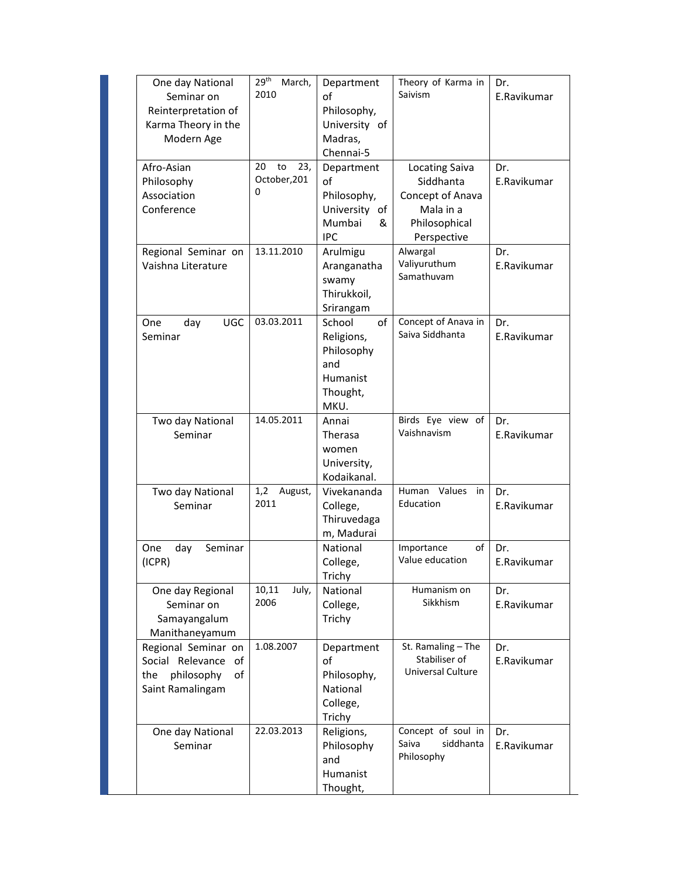| One day National<br>Seminar on<br>Reinterpretation of<br>Karma Theory in the<br>Modern Age   | 29 <sup>th</sup><br>March,<br>2010   | Department<br>οf<br>Philosophy,<br>University of<br>Madras,<br>Chennai-5               | Theory of Karma in<br>Saivism                                                                       | Dr.<br>E.Ravikumar |
|----------------------------------------------------------------------------------------------|--------------------------------------|----------------------------------------------------------------------------------------|-----------------------------------------------------------------------------------------------------|--------------------|
| Afro-Asian<br>Philosophy<br>Association<br>Conference                                        | 20<br>to<br>23,<br>October, 201<br>0 | Department<br>of<br>Philosophy,<br>University of<br>Mumbai<br>&<br><b>IPC</b>          | <b>Locating Saiva</b><br>Siddhanta<br>Concept of Anava<br>Mala in a<br>Philosophical<br>Perspective | Dr.<br>E.Ravikumar |
| Regional Seminar on<br>Vaishna Literature                                                    | 13.11.2010                           | Arulmigu<br>Aranganatha<br>swamy<br>Thirukkoil,<br>Srirangam                           | Alwargal<br>Valiyuruthum<br>Samathuvam                                                              | Dr.<br>E.Ravikumar |
| <b>UGC</b><br>One<br>day<br>Seminar                                                          | 03.03.2011                           | of<br>School<br>Religions,<br>Philosophy<br>and<br><b>Humanist</b><br>Thought,<br>MKU. | Concept of Anava in<br>Saiva Siddhanta                                                              | Dr.<br>E.Ravikumar |
| Two day National<br>Seminar                                                                  | 14.05.2011                           | Annai<br>Therasa<br>women<br>University,<br>Kodaikanal.                                | Birds Eye view of<br>Vaishnavism                                                                    | Dr.<br>E.Ravikumar |
| Two day National<br>Seminar                                                                  | 1,2<br>August,<br>2011               | Vivekananda<br>College,<br>Thiruvedaga<br>m, Madurai                                   | Values<br>Human<br>in<br>Education                                                                  | Dr.<br>E.Ravikumar |
| One<br>day<br>Seminar<br>(ICPR)                                                              |                                      | National<br>College,<br>Trichy                                                         | of<br>Importance<br>Value education                                                                 | Dr.<br>E.Ravikumar |
| One day Regional<br>Seminar on<br>Samayangalum<br>Manithaneyamum                             | 10,11<br>July,<br>2006               | National<br>College,<br>Trichy                                                         | Humanism on<br>Sikkhism                                                                             | Dr.<br>E.Ravikumar |
| Regional Seminar on<br>Social Relevance<br>of<br>philosophy<br>of<br>the<br>Saint Ramalingam | 1.08.2007                            | Department<br>οf<br>Philosophy,<br>National<br>College,<br>Trichy                      | St. Ramaling - The<br>Stabiliser of<br>Universal Culture                                            | Dr.<br>E.Ravikumar |
| One day National<br>Seminar                                                                  | 22.03.2013                           | Religions,<br>Philosophy<br>and<br>Humanist<br>Thought,                                | Concept of soul in<br>Saiva<br>siddhanta<br>Philosophy                                              | Dr.<br>E.Ravikumar |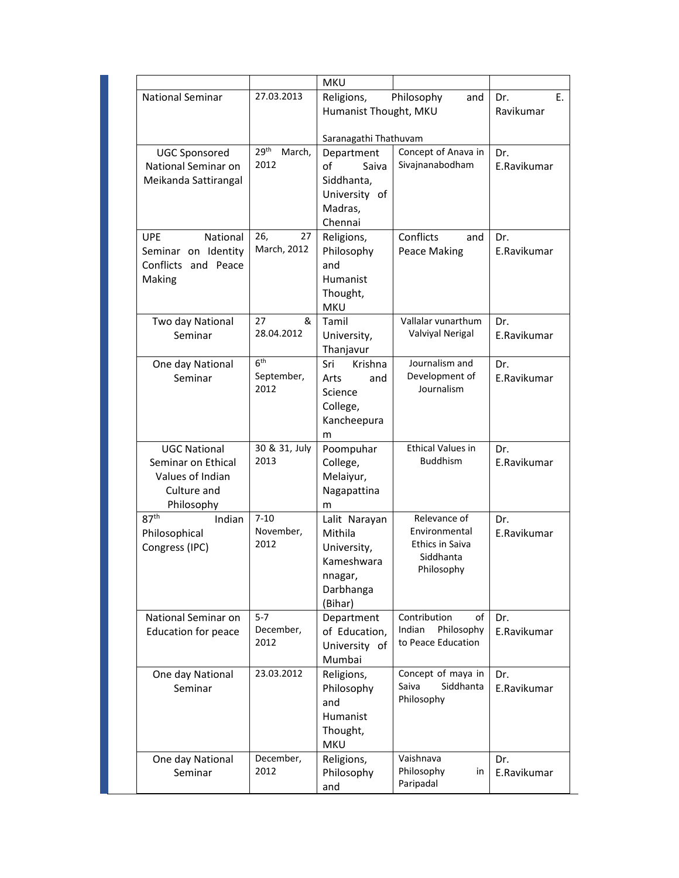|                                                                                            |                                       | <b>MKU</b>                                                                               |                                                                             |                        |
|--------------------------------------------------------------------------------------------|---------------------------------------|------------------------------------------------------------------------------------------|-----------------------------------------------------------------------------|------------------------|
| <b>National Seminar</b>                                                                    | 27.03.2013                            | Religions,<br>Humanist Thought, MKU                                                      | Philosophy<br>and                                                           | Е.<br>Dr.<br>Ravikumar |
|                                                                                            |                                       | Saranagathi Thathuvam                                                                    |                                                                             |                        |
| <b>UGC Sponsored</b><br>National Seminar on<br>Meikanda Sattirangal                        | 29 <sup>th</sup><br>March,<br>2012    | Department<br>οf<br>Saiva<br>Siddhanta,<br>University of<br>Madras,<br>Chennai           | Concept of Anava in<br>Sivajnanabodham                                      | Dr.<br>E.Ravikumar     |
| <b>UPE</b><br>National<br>Seminar on Identity<br>Conflicts and Peace<br>Making             | 26,<br>27<br>March, 2012              | Religions,<br>Philosophy<br>and<br><b>Humanist</b><br>Thought,<br><b>MKU</b>             | Conflicts<br>and<br>Peace Making                                            | Dr.<br>E.Ravikumar     |
| Two day National<br>Seminar                                                                | 27<br>&<br>28.04.2012                 | Tamil<br>University,<br>Thanjavur                                                        | Vallalar vunarthum<br>Valviyal Nerigal                                      | Dr.<br>E.Ravikumar     |
| One day National<br>Seminar                                                                | 6 <sup>th</sup><br>September,<br>2012 | Sri<br>Krishna<br>Arts<br>and<br>Science<br>College,<br>Kancheepura<br>m                 | Journalism and<br>Development of<br>Journalism                              | Dr.<br>E.Ravikumar     |
| <b>UGC National</b><br>Seminar on Ethical<br>Values of Indian<br>Culture and<br>Philosophy | 30 & 31, July<br>2013                 | Poompuhar<br>College,<br>Melaiyur,<br>Nagapattina<br>m                                   | <b>Ethical Values in</b><br><b>Buddhism</b>                                 | Dr.<br>E.Ravikumar     |
| 87 <sup>th</sup><br>Indian<br>Philosophical<br>Congress (IPC)                              | $7 - 10$<br>November,<br>2012         | Lalit Narayan<br>Mithila<br>University,<br>Kameshwara<br>nnagar,<br>Darbhanga<br>(Bihar) | Relevance of<br>Environmental<br>Ethics in Saiva<br>Siddhanta<br>Philosophy | Dr.<br>E.Ravikumar     |
| National Seminar on<br>Education for peace                                                 | $5 - 7$<br>December,<br>2012          | Department<br>of Education,<br>University of<br>Mumbai                                   | Contribution<br>of<br>Philosophy<br>Indian<br>to Peace Education            | Dr.<br>E.Ravikumar     |
| One day National<br>Seminar                                                                | 23.03.2012                            | Religions,<br>Philosophy<br>and<br>Humanist<br>Thought,<br><b>MKU</b>                    | Concept of maya in<br>Saiva<br>Siddhanta<br>Philosophy                      | Dr.<br>E.Ravikumar     |
| One day National<br>Seminar                                                                | December,<br>2012                     | Religions,<br>Philosophy<br>and                                                          | Vaishnava<br>Philosophy<br>in<br>Paripadal                                  | Dr.<br>E.Ravikumar     |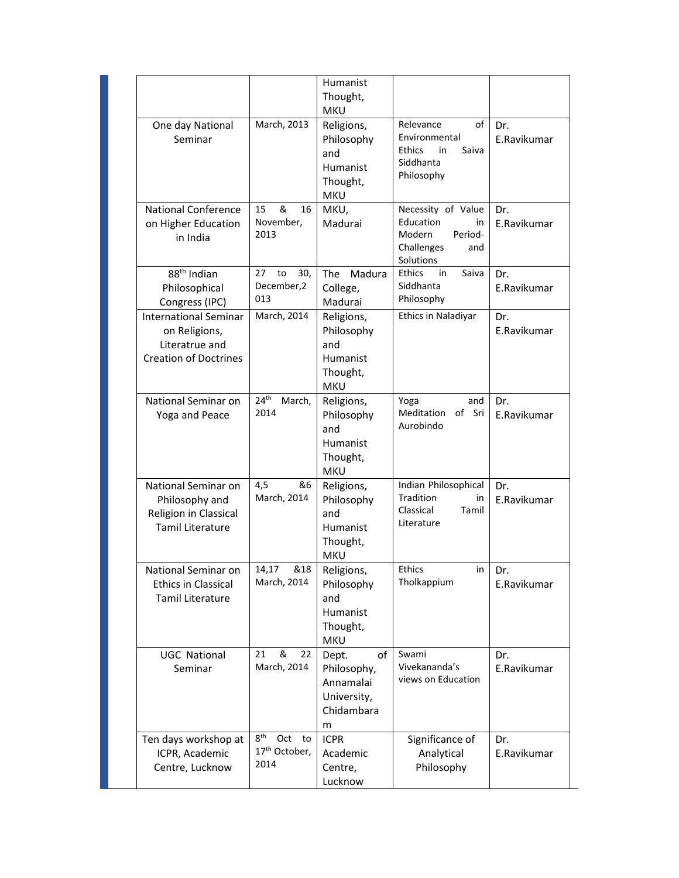|                                                                                                 |                                                                   | Humanist<br>Thought,<br><b>MKU</b>                                           |                                                                                               |                    |
|-------------------------------------------------------------------------------------------------|-------------------------------------------------------------------|------------------------------------------------------------------------------|-----------------------------------------------------------------------------------------------|--------------------|
| One day National<br>Seminar                                                                     | March, 2013                                                       | Religions,<br>Philosophy<br>and<br>Humanist<br>Thought,<br><b>MKU</b>        | Relevance<br>of<br>Environmental<br>Ethics<br>in<br>Saiva<br>Siddhanta<br>Philosophy          | Dr.<br>E.Ravikumar |
| <b>National Conference</b><br>on Higher Education<br>in India                                   | &<br>15<br>16<br>November,<br>2013                                | MKU,<br>Madurai                                                              | Necessity of Value<br>Education<br>in.<br>Modern<br>Period-<br>Challenges<br>and<br>Solutions | Dr.<br>E.Ravikumar |
| 88 <sup>th</sup> Indian<br>Philosophical<br>Congress (IPC)                                      | 27<br>to<br>30,<br>December,2<br>013                              | <b>The</b><br>Madura<br>College,<br>Madurai                                  | Saiva<br>Ethics<br>in<br>Siddhanta<br>Philosophy                                              | Dr.<br>E.Ravikumar |
| <b>International Seminar</b><br>on Religions,<br>Literatrue and<br><b>Creation of Doctrines</b> | March, 2014                                                       | Religions,<br>Philosophy<br>and<br>Humanist<br>Thought,<br><b>MKU</b>        | Ethics in Naladiyar                                                                           | Dr.<br>E.Ravikumar |
| National Seminar on<br>Yoga and Peace                                                           | 24 <sup>th</sup><br>March,<br>2014                                | Religions,<br>Philosophy<br>and<br>Humanist<br>Thought,<br><b>MKU</b>        | Yoga<br>and<br>Meditation of<br>Sri<br>Aurobindo                                              | Dr.<br>E.Ravikumar |
| National Seminar on<br>Philosophy and<br>Religion in Classical<br><b>Tamil Literature</b>       | 4,5<br>&6<br>March, 2014                                          | Religions,<br>Philosophy<br>and<br><b>Humanist</b><br>Thought,<br><b>MKU</b> | Indian Philosophical<br><b>Tradition</b><br>in<br>Classical<br>Tamil<br>Literature            | Dr.<br>E.Ravikumar |
| National Seminar on<br>Ethics in Classical<br><b>Tamil Literature</b>                           | 14,17<br>&18<br>March, 2014                                       | Religions,<br>Philosophy<br>and<br>Humanist<br>Thought,<br><b>MKU</b>        | Ethics<br>in<br>Tholkappium                                                                   | Dr.<br>E.Ravikumar |
| <b>UGC National</b><br>Seminar                                                                  | &<br>22<br>21<br>March, 2014                                      | of<br>Dept.<br>Philosophy,<br>Annamalai<br>University,<br>Chidambara<br>m    | Swami<br>Vivekananda's<br>views on Education                                                  | Dr.<br>E.Ravikumar |
| Ten days workshop at<br>ICPR, Academic<br>Centre, Lucknow                                       | 8 <sup>th</sup><br>Oct<br>to<br>17 <sup>th</sup> October,<br>2014 | <b>ICPR</b><br>Academic<br>Centre,<br>Lucknow                                | Significance of<br>Analytical<br>Philosophy                                                   | Dr.<br>E.Ravikumar |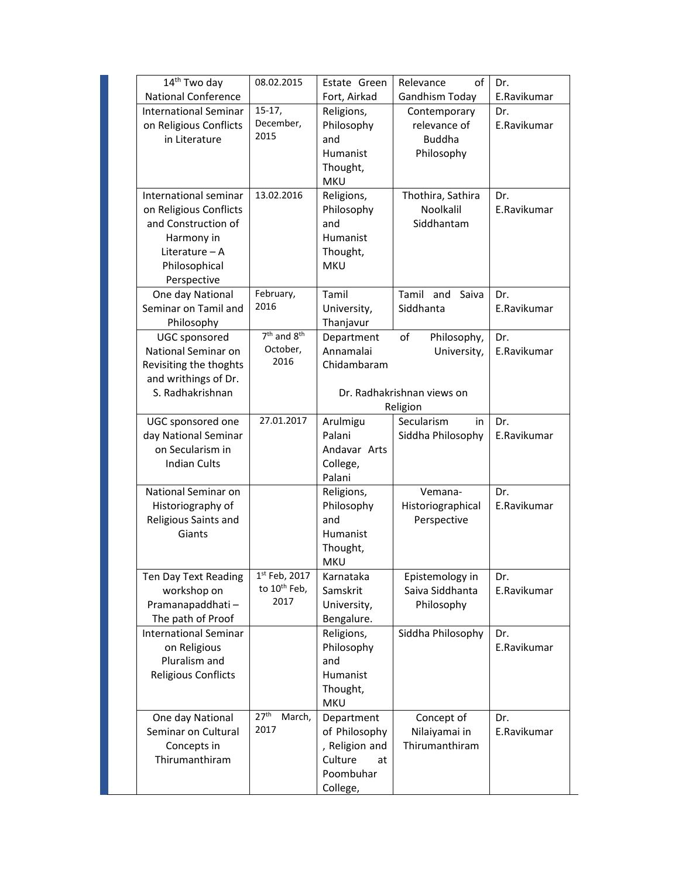| 14 <sup>th</sup> Two day     | 08.02.2015                 | Estate Green   | of<br>Relevance            | Dr.         |
|------------------------------|----------------------------|----------------|----------------------------|-------------|
| <b>National Conference</b>   |                            | Fort, Airkad   | Gandhism Today             | E.Ravikumar |
| <b>International Seminar</b> | $15-17,$                   | Religions,     | Contemporary               | Dr.         |
| on Religious Conflicts       | December,                  | Philosophy     | relevance of               | E.Ravikumar |
| in Literature                | 2015                       | and            | <b>Buddha</b>              |             |
|                              |                            | Humanist       | Philosophy                 |             |
|                              |                            | Thought,       |                            |             |
|                              |                            | <b>MKU</b>     |                            |             |
| International seminar        | 13.02.2016                 | Religions,     | Thothira, Sathira          | Dr.         |
| on Religious Conflicts       |                            | Philosophy     | Noolkalil                  | E.Ravikumar |
| and Construction of          |                            | and            | Siddhantam                 |             |
| Harmony in                   |                            | Humanist       |                            |             |
| Literature $-$ A             |                            | Thought,       |                            |             |
| Philosophical                |                            | <b>MKU</b>     |                            |             |
| Perspective                  |                            |                |                            |             |
| One day National             | February,                  | Tamil          | Tamil and<br>Saiva         | Dr.         |
| Seminar on Tamil and         | 2016                       | University,    | Siddhanta                  | E.Ravikumar |
| Philosophy                   |                            | Thanjavur      |                            |             |
| <b>UGC</b> sponsored         | $7th$ and $8th$            | Department     | Philosophy,<br>оf          | Dr.         |
| National Seminar on          | October,                   | Annamalai      | University,                | E.Ravikumar |
| Revisiting the thoghts       | 2016                       | Chidambaram    |                            |             |
| and writhings of Dr.         |                            |                |                            |             |
| S. Radhakrishnan             |                            |                | Dr. Radhakrishnan views on |             |
|                              |                            |                | Religion                   |             |
| UGC sponsored one            | 27.01.2017                 | Arulmigu       | Secularism<br>in.          | Dr.         |
| day National Seminar         |                            | Palani         | Siddha Philosophy          | E.Ravikumar |
| on Secularism in             |                            | Andavar Arts   |                            |             |
| <b>Indian Cults</b>          |                            | College,       |                            |             |
|                              |                            | Palani         |                            |             |
| National Seminar on          |                            | Religions,     | Vemana-                    | Dr.         |
| Historiography of            |                            | Philosophy     | Historiographical          | E.Ravikumar |
| Religious Saints and         |                            | and            | Perspective                |             |
| Giants                       |                            | Humanist       |                            |             |
|                              |                            | Thought,       |                            |             |
|                              |                            | <b>MKU</b>     |                            |             |
| Ten Day Text Reading         | 1st Feb, 2017              | Karnataka      | Epistemology in            | Dr.         |
| workshop on                  | to 10 <sup>th</sup> Feb,   | Samskrit       | Saiva Siddhanta            | E.Ravikumar |
| Pramanapaddhati-             | 2017                       | University,    | Philosophy                 |             |
| The path of Proof            |                            | Bengalure.     |                            |             |
| <b>International Seminar</b> |                            | Religions,     | Siddha Philosophy          | Dr.         |
| on Religious                 |                            | Philosophy     |                            | E.Ravikumar |
| Pluralism and                |                            | and            |                            |             |
| <b>Religious Conflicts</b>   |                            | Humanist       |                            |             |
|                              |                            | Thought,       |                            |             |
|                              |                            | <b>MKU</b>     |                            |             |
| One day National             | 27 <sup>th</sup><br>March, | Department     | Concept of                 | Dr.         |
| Seminar on Cultural          | 2017                       | of Philosophy  | Nilaiyamai in              | E.Ravikumar |
| Concepts in                  |                            | , Religion and | Thirumanthiram             |             |
| Thirumanthiram               |                            | Culture<br>at  |                            |             |
|                              |                            | Poombuhar      |                            |             |
|                              |                            | College,       |                            |             |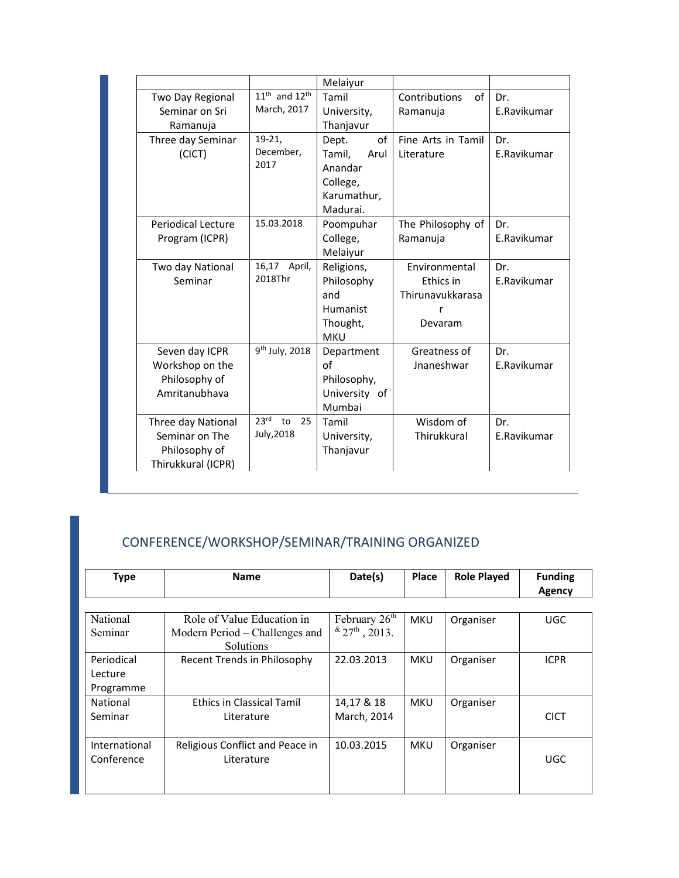|                           |                              | Melaiyur        |                     |             |
|---------------------------|------------------------------|-----------------|---------------------|-------------|
| Two Day Regional          | $11th$ and $12th$            | Tamil           | of<br>Contributions | Dr.         |
| Seminar on Sri            | March, 2017                  | University,     | Ramanuja            | E.Ravikumar |
| Ramanuja                  |                              | Thanjavur       |                     |             |
| Three day Seminar         | $19-21,$                     | of<br>Dept.     | Fine Arts in Tamil  | Dr.         |
| (CICT)                    | December,                    | Tamil,<br>Arul  | Literature          | E.Ravikumar |
|                           | 2017                         | Anandar         |                     |             |
|                           |                              | College,        |                     |             |
|                           |                              | Karumathur,     |                     |             |
|                           |                              | Madurai.        |                     |             |
| <b>Periodical Lecture</b> | 15.03.2018                   | Poompuhar       | The Philosophy of   | Dr.         |
| Program (ICPR)            |                              | College,        | Ramanuja            | E.Ravikumar |
|                           |                              | Melaiyur        |                     |             |
| Two day National          | 16,17 April,                 | Religions,      | Environmental       | Dr.         |
| Seminar                   | 2018Thr                      | Philosophy      | Ethics in           | E.Ravikumar |
|                           |                              | and             | Thirunavukkarasa    |             |
|                           |                              | <b>Humanist</b> | r                   |             |
|                           |                              | Thought,        | Devaram             |             |
|                           |                              | <b>MKU</b>      |                     |             |
| Seven day ICPR            | 9 <sup>th</sup> July, 2018   | Department      | Greatness of        | Dr.         |
| Workshop on the           |                              | of              | Jnaneshwar          | E.Ravikumar |
| Philosophy of             |                              | Philosophy,     |                     |             |
| Amritanubhava             |                              | University of   |                     |             |
|                           |                              | Mumbai          |                     |             |
| Three day National        | 23 <sup>rd</sup><br>to<br>25 | Tamil           | Wisdom of           | Dr.         |
| Seminar on The            | July, 2018                   | University,     | Thirukkural         | E.Ravikumar |
| Philosophy of             |                              | Thanjavur       |                     |             |
| Thirukkural (ICPR)        |                              |                 |                     |             |
|                           |                              |                 |                     |             |

# CONFERENCE/WORKSHOP/SEMINAR/TRAINING ORGANIZED

| <b>Type</b>   | <b>Name</b>                      | Date(s)                   | <b>Place</b> | <b>Role Played</b> | <b>Funding</b><br>Agency |
|---------------|----------------------------------|---------------------------|--------------|--------------------|--------------------------|
|               |                                  |                           |              |                    |                          |
| National      | Role of Value Education in       | February 26 <sup>th</sup> | <b>MKU</b>   | Organiser          | <b>UGC</b>               |
| Seminar       | Modern Period – Challenges and   | $*27^{\text{th}}$ , 2013. |              |                    |                          |
|               | <b>Solutions</b>                 |                           |              |                    |                          |
| Periodical    | Recent Trends in Philosophy      | 22.03.2013                | <b>MKU</b>   | Organiser          | <b>ICPR</b>              |
| Lecture       |                                  |                           |              |                    |                          |
| Programme     |                                  |                           |              |                    |                          |
| National      | <b>Ethics in Classical Tamil</b> | 14,17 & 18                | <b>MKU</b>   | Organiser          |                          |
| Seminar       | Literature                       | March, 2014               |              |                    | <b>CICT</b>              |
|               |                                  |                           |              |                    |                          |
| International | Religious Conflict and Peace in  | 10.03.2015                | <b>MKU</b>   | Organiser          |                          |
| Conference    | Literature                       |                           |              |                    | <b>UGC</b>               |
|               |                                  |                           |              |                    |                          |
|               |                                  |                           |              |                    |                          |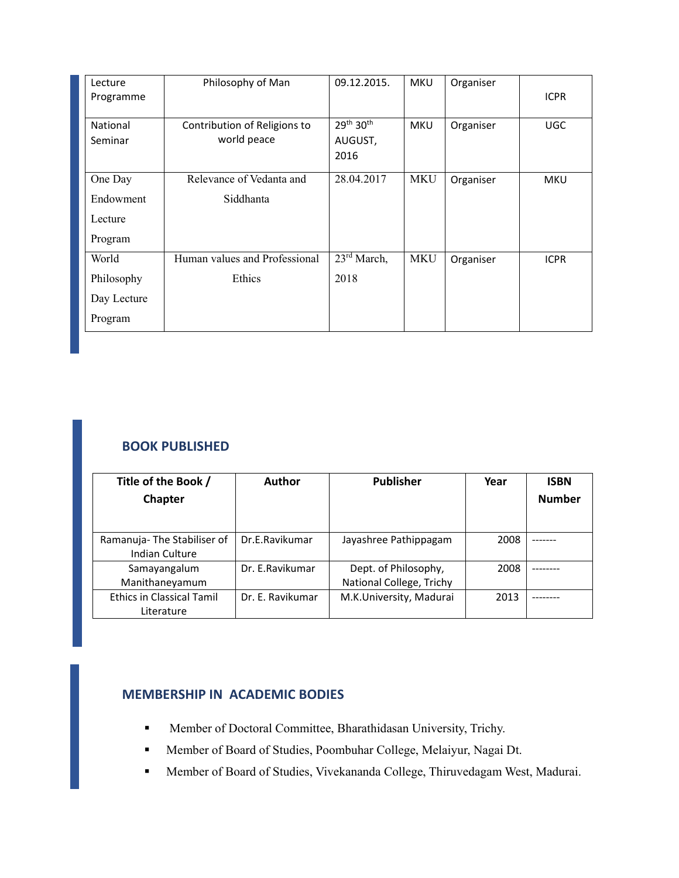| Lecture<br>Programme | Philosophy of Man                           | 09.12.2015.                                          | <b>MKU</b> | Organiser | <b>ICPR</b> |
|----------------------|---------------------------------------------|------------------------------------------------------|------------|-----------|-------------|
| National<br>Seminar  | Contribution of Religions to<br>world peace | 29 <sup>th</sup> 30 <sup>th</sup><br>AUGUST,<br>2016 | <b>MKU</b> | Organiser | <b>UGC</b>  |
| One Day              | Relevance of Vedanta and                    | 28.04.2017                                           | <b>MKU</b> | Organiser | <b>MKU</b>  |
| Endowment            | Siddhanta                                   |                                                      |            |           |             |
| Lecture              |                                             |                                                      |            |           |             |
| Program              |                                             |                                                      |            |           |             |
| World                | Human values and Professional               | $23^{\text{rd}}$ March,                              | <b>MKU</b> | Organiser | <b>ICPR</b> |
| Philosophy           | Ethics                                      | 2018                                                 |            |           |             |
| Day Lecture          |                                             |                                                      |            |           |             |
| Program              |                                             |                                                      |            |           |             |

# **BOOK PUBLISHED**

| Title of the Book /                                 | <b>Author</b>    | <b>Publisher</b>                                 | Year | <b>ISBN</b>   |
|-----------------------------------------------------|------------------|--------------------------------------------------|------|---------------|
| Chapter                                             |                  |                                                  |      | <b>Number</b> |
|                                                     |                  |                                                  |      |               |
| Ramanuja-The Stabiliser of<br><b>Indian Culture</b> | Dr.E.Ravikumar   | Jayashree Pathippagam                            | 2008 |               |
| Samayangalum<br>Manithaneyamum                      | Dr. E.Ravikumar  | Dept. of Philosophy,<br>National College, Trichy | 2008 |               |
| <b>Ethics in Classical Tamil</b><br>Literature      | Dr. E. Ravikumar | M.K.University, Madurai                          | 2013 |               |

# **MEMBERSHIP IN ACADEMIC BODIES**

- Member of Doctoral Committee, Bharathidasan University, Trichy.
- Member of Board of Studies, Poombuhar College, Melaiyur, Nagai Dt.
- Member of Board of Studies, Vivekananda College, Thiruvedagam West, Madurai.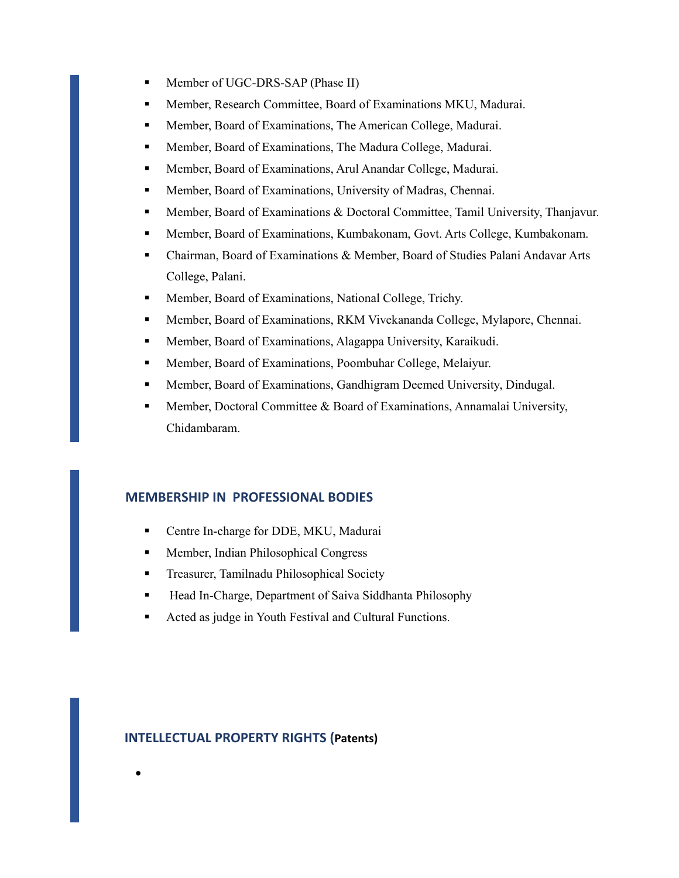- **Member of UGC-DRS-SAP (Phase II)**
- Member, Research Committee, Board of Examinations MKU, Madurai.
- **Member, Board of Examinations, The American College, Madurai.**
- **Member, Board of Examinations, The Madura College, Madurai.**
- **Member, Board of Examinations, Arul Anandar College, Madurai.**
- **Member, Board of Examinations, University of Madras, Chennai.**
- **Member, Board of Examinations & Doctoral Committee, Tamil University, Thanjavur.**
- Member, Board of Examinations, Kumbakonam, Govt. Arts College, Kumbakonam.
- Chairman, Board of Examinations & Member, Board of Studies Palani Andavar Arts College, Palani.
- **Member, Board of Examinations, National College, Trichy.**
- Member, Board of Examinations, RKM Vivekananda College, Mylapore, Chennai.
- Member, Board of Examinations, Alagappa University, Karaikudi.
- Member, Board of Examinations, Poombuhar College, Melaiyur.
- Member, Board of Examinations, Gandhigram Deemed University, Dindugal.
- **Member, Doctoral Committee & Board of Examinations, Annamalai University,** Chidambaram.

## **MEMBERSHIP IN PROFESSIONAL BODIES**

- **Centre In-charge for DDE, MKU, Madurai**
- **Member, Indian Philosophical Congress**
- **Treasurer, Tamilnadu Philosophical Society**
- Head In-Charge, Department of Saiva Siddhanta Philosophy
- Acted as judge in Youth Festival and Cultural Functions.

#### **INTELLECTUAL PROPERTY RIGHTS (Patents)**

 $\bullet$